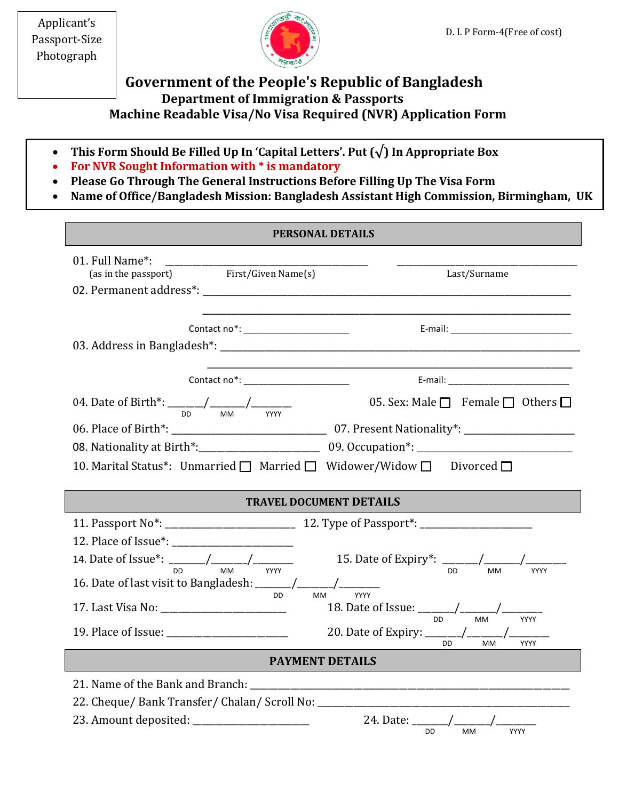Applicant's Passport-Size Photograph



## **Government of the People's Republic of Bangladesh Department of Immigration & Passports Machine Readable Visa/No Visa Required (NVR) Application Form**

- **This Form Should Be Filled Up In 'Capital Letters'. Put (√) In Appropriate Box**
- **For NVR Sought Information with \* is mandatory**
- **Please Go Through The General Instructions Before Filling Up The Visa Form**
- **Name of Office/Bangladesh Mission: Bangladesh Assistant High Commission, Birmingham, UK**

| <b>PERSONAL DETAILS</b>                                                                                                                                                                                                                                                                   |                                                                                                                                                                                                                                                                                                             |  |
|-------------------------------------------------------------------------------------------------------------------------------------------------------------------------------------------------------------------------------------------------------------------------------------------|-------------------------------------------------------------------------------------------------------------------------------------------------------------------------------------------------------------------------------------------------------------------------------------------------------------|--|
| 01. Full Name*:<br>(as in the passport) First/Given Name(s)                                                                                                                                                                                                                               | Last/Surname                                                                                                                                                                                                                                                                                                |  |
| Contact no*: ________________________                                                                                                                                                                                                                                                     |                                                                                                                                                                                                                                                                                                             |  |
|                                                                                                                                                                                                                                                                                           |                                                                                                                                                                                                                                                                                                             |  |
| 04. Date of Birth*: $\frac{1}{100}$ / $\frac{1}{100}$ / $\frac{1}{100}$ / $\frac{1}{100}$ / $\frac{1}{100}$ / $\frac{1}{100}$ / $\frac{1}{100}$ / $\frac{1}{100}$ / $\frac{1}{100}$ / $\frac{1}{100}$ / $\frac{1}{100}$ / $\frac{1}{100}$ / $\frac{1}{100}$ / $\frac{1}{100}$ / $\frac{1$ | 05. Sex: Male $\Box$ Female $\Box$ Others $\Box$                                                                                                                                                                                                                                                            |  |
|                                                                                                                                                                                                                                                                                           |                                                                                                                                                                                                                                                                                                             |  |
|                                                                                                                                                                                                                                                                                           |                                                                                                                                                                                                                                                                                                             |  |
| 10. Marital Status*: Unmarried   Married   Widower/Widow   Divorced                                                                                                                                                                                                                       |                                                                                                                                                                                                                                                                                                             |  |
| <b>TRAVEL DOCUMENT DETAILS</b>                                                                                                                                                                                                                                                            |                                                                                                                                                                                                                                                                                                             |  |
|                                                                                                                                                                                                                                                                                           |                                                                                                                                                                                                                                                                                                             |  |
|                                                                                                                                                                                                                                                                                           |                                                                                                                                                                                                                                                                                                             |  |
|                                                                                                                                                                                                                                                                                           |                                                                                                                                                                                                                                                                                                             |  |
|                                                                                                                                                                                                                                                                                           |                                                                                                                                                                                                                                                                                                             |  |
|                                                                                                                                                                                                                                                                                           | 14. Date of Issue*: $\frac{1}{2}$ $\frac{1}{2}$ $\frac{1}{2}$ $\frac{1}{2}$ $\frac{1}{2}$ $\frac{1}{2}$ $\frac{1}{2}$ $\frac{1}{2}$ $\frac{1}{2}$ $\frac{1}{2}$ $\frac{1}{2}$ $\frac{1}{2}$ $\frac{1}{2}$ $\frac{1}{2}$ $\frac{1}{2}$ $\frac{1}{2}$ $\frac{1}{2}$ $\frac{1}{2}$ $\frac{1}{2}$ $\frac{1}{2}$ |  |
| 16. Date of last visit to Bangladesh: $\frac{1}{2}$ MM                                                                                                                                                                                                                                    |                                                                                                                                                                                                                                                                                                             |  |
| 17. Last Visa No: __________________________                                                                                                                                                                                                                                              | 18. Date of Issue: $\frac{1}{100}$ / $\frac{1}{100}$ / $\frac{1}{100}$ / $\frac{1}{100}$ / $\frac{1}{100}$ / $\frac{1}{100}$ / $\frac{1}{100}$ / $\frac{1}{100}$ / $\frac{1}{100}$ / $\frac{1}{100}$ / $\frac{1}{100}$ / $\frac{1}{100}$ / $\frac{1}{100}$ / $\frac{1}{100}$ / $\frac{1}{$                  |  |
| <b>PAYMENT DETAILS</b>                                                                                                                                                                                                                                                                    | DD<br><b>MM</b>                                                                                                                                                                                                                                                                                             |  |
|                                                                                                                                                                                                                                                                                           |                                                                                                                                                                                                                                                                                                             |  |
| 22. Cheque/ Bank Transfer/ Chalan/ Scroll No: __________________________________                                                                                                                                                                                                          |                                                                                                                                                                                                                                                                                                             |  |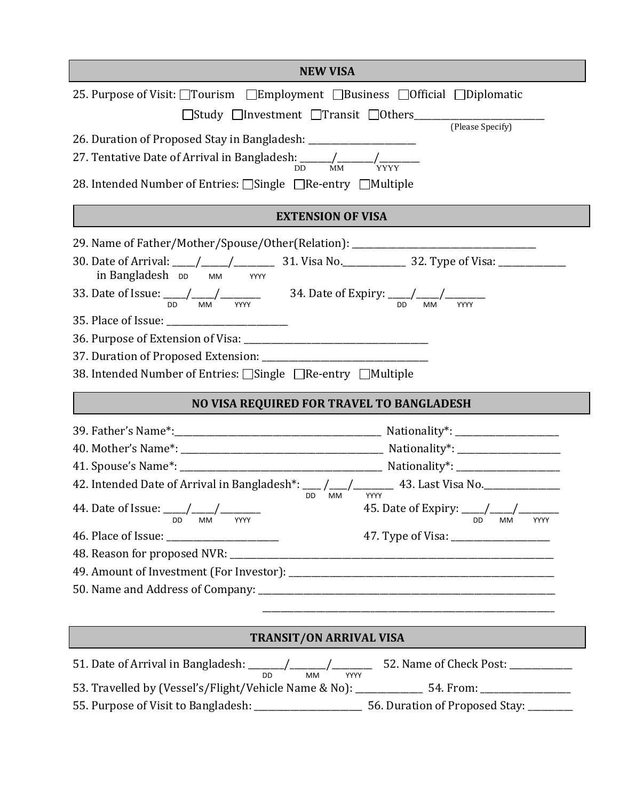| <b>NEW VISA</b>                                                                                                                                                                                                                                                                                                                                                                                                                                                                                                                                                                                      |  |  |
|------------------------------------------------------------------------------------------------------------------------------------------------------------------------------------------------------------------------------------------------------------------------------------------------------------------------------------------------------------------------------------------------------------------------------------------------------------------------------------------------------------------------------------------------------------------------------------------------------|--|--|
| 25. Purpose of Visit: □Tourism □Employment □Business □Official □Diplomatic<br>(Please Specify)<br>26. Duration of Proposed Stay in Bangladesh: ___________________________________<br>27. Tentative Date of Arrival in Bangladesh: $\frac{1}{DD}$ MM $\frac{1}{YYY}$<br>28. Intended Number of Entries: □Single □Re-entry □Multiple                                                                                                                                                                                                                                                                  |  |  |
| <b>EXTENSION OF VISA</b>                                                                                                                                                                                                                                                                                                                                                                                                                                                                                                                                                                             |  |  |
| 29. Name of Father/Mother/Spouse/Other(Relation): ______________________________<br>30. Date of Arrival: \____/ \_____/ 31. Visa No. \_______________ 32. Type of Visa: \______________<br>in Bangladesh DD MM YYYY<br>33. Date of Issue: $\frac{1}{D}$ $\frac{1}{M}$ $\frac{1}{M}$ $\frac{1}{M}$ $\frac{1}{M}$ $\frac{1}{M}$ $\frac{1}{M}$ $\frac{1}{M}$ $\frac{1}{M}$ $\frac{1}{M}$ $\frac{1}{M}$ $\frac{1}{M}$ $\frac{1}{M}$ $\frac{1}{M}$ $\frac{1}{M}$ $\frac{1}{M}$ $\frac{1}{M}$ $\frac{1}{M}$ $\frac{1}{M}$ $\frac{1}{M}$ $\$<br>38. Intended Number of Entries: □Single □Re-entry □Multiple |  |  |
| NO VISA REQUIRED FOR TRAVEL TO BANGLADESH                                                                                                                                                                                                                                                                                                                                                                                                                                                                                                                                                            |  |  |
| 42. Intended Date of Arrival in Bangladesh*: __ /__/_______ 43. Last Visa No.______________<br>DD MM<br>45. Date of Expiry: $\frac{1}{100}$ / $\frac{1}{100}$ / $\frac{1}{100}$ / $\frac{1}{100}$ / $\frac{1}{100}$ / $\frac{1}{100}$ / $\frac{1}{100}$ / $\frac{1}{100}$ / $\frac{1}{100}$ / $\frac{1}{100}$ / $\frac{1}{100}$ / $\frac{1}{100}$ / $\frac{1}{100}$ / $\frac{1}{100}$ / $\frac{1$<br><b>MM</b>                                                                                                                                                                                       |  |  |
| <b>TRANSIT/ON ARRIVAL VISA</b>                                                                                                                                                                                                                                                                                                                                                                                                                                                                                                                                                                       |  |  |
| YYYY<br>53. Travelled by (Vessel's/Flight/Vehicle Name & No): ____________ 54. From: ___________                                                                                                                                                                                                                                                                                                                                                                                                                                                                                                     |  |  |

55. Purpose of Visit to Bangladesh: \_\_\_\_\_\_\_\_\_\_\_\_\_\_\_\_\_\_\_\_\_\_\_\_ 56. Duration of Proposed Stay: \_\_\_\_\_\_\_\_\_\_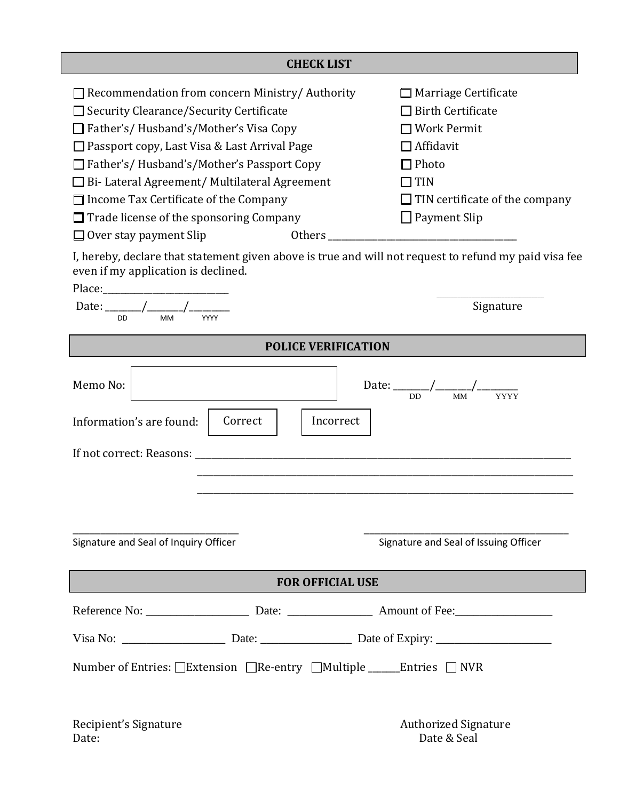| <b>CHECK LIST</b>                                                                                                                            |                                       |  |
|----------------------------------------------------------------------------------------------------------------------------------------------|---------------------------------------|--|
| Recommendation from concern Ministry/Authority                                                                                               | Marriage Certificate                  |  |
| $\Box$ Security Clearance/Security Certificate                                                                                               | <b>Birth Certificate</b>              |  |
| Father's/ Husband's/Mother's Visa Copy                                                                                                       | <b>Work Permit</b>                    |  |
| $\Box$ Passport copy, Last Visa & Last Arrival Page                                                                                          | $\Box$ Affidavit                      |  |
| □ Father's/ Husband's/Mother's Passport Copy                                                                                                 | Photo                                 |  |
| $\Box$ Bi-Lateral Agreement/ Multilateral Agreement                                                                                          | <b>TIN</b>                            |  |
| $\Box$ Income Tax Certificate of the Company                                                                                                 | $\Box$ TIN certificate of the company |  |
| $\Box$ Trade license of the sponsoring Company                                                                                               | $\Box$ Payment Slip                   |  |
| Others<br>$\Box$ Over stay payment Slip                                                                                                      |                                       |  |
| I, hereby, declare that statement given above is true and will not request to refund my paid visa fee<br>even if my application is declined. |                                       |  |
| Place:                                                                                                                                       |                                       |  |
| <b>DD</b><br><b>MM</b><br>YYYY                                                                                                               | Signature                             |  |
| <b>POLICE VERIFICATION</b>                                                                                                                   |                                       |  |
|                                                                                                                                              |                                       |  |

| Date: $\frac{\sqrt{2}}{2}$<br><b>DD</b><br><b>MM</b><br>YYYY          | Signature                                                         |  |  |
|-----------------------------------------------------------------------|-------------------------------------------------------------------|--|--|
| <b>POLICE VERIFICATION</b>                                            |                                                                   |  |  |
| Memo No:<br>Information's are found:<br>Correct                       | Date: $\frac{D}{DD}$ $\frac{1}{MN}$ $\frac{1}{NYYY}$<br>Incorrect |  |  |
|                                                                       |                                                                   |  |  |
| Signature and Seal of Inquiry Officer                                 | Signature and Seal of Issuing Officer                             |  |  |
| <b>FOR OFFICIAL USE</b>                                               |                                                                   |  |  |
|                                                                       |                                                                   |  |  |
|                                                                       |                                                                   |  |  |
| Number of Entries: □Extension □Re-entry □Multiple ______Entries □ NVR |                                                                   |  |  |
| Recipient's Signature<br>Date:                                        | <b>Authorized Signature</b><br>Date & Seal                        |  |  |